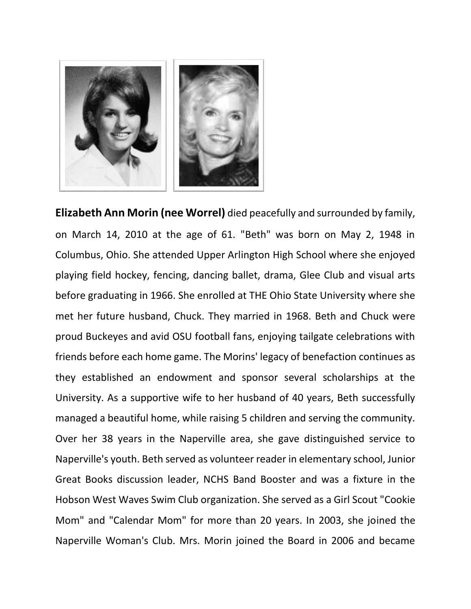

**Elizabeth Ann Morin (nee Worrel)** died peacefully and surrounded by family, on March 14, 2010 at the age of 61. "Beth" was born on May 2, 1948 in Columbus, Ohio. She attended Upper Arlington High School where she enjoyed playing field hockey, fencing, dancing ballet, drama, Glee Club and visual arts before graduating in 1966. She enrolled at THE Ohio State University where she met her future husband, Chuck. They married in 1968. Beth and Chuck were proud Buckeyes and avid OSU football fans, enjoying tailgate celebrations with friends before each home game. The Morins' legacy of benefaction continues as they established an endowment and sponsor several scholarships at the University. As a supportive wife to her husband of 40 years, Beth successfully managed a beautiful home, while raising 5 children and serving the community. Over her 38 years in the Naperville area, she gave distinguished service to Naperville's youth. Beth served as volunteer reader in elementary school, Junior Great Books discussion leader, NCHS Band Booster and was a fixture in the Hobson West Waves Swim Club organization. She served as a Girl Scout "Cookie Mom" and "Calendar Mom" for more than 20 years. In 2003, she joined the Naperville Woman's Club. Mrs. Morin joined the Board in 2006 and became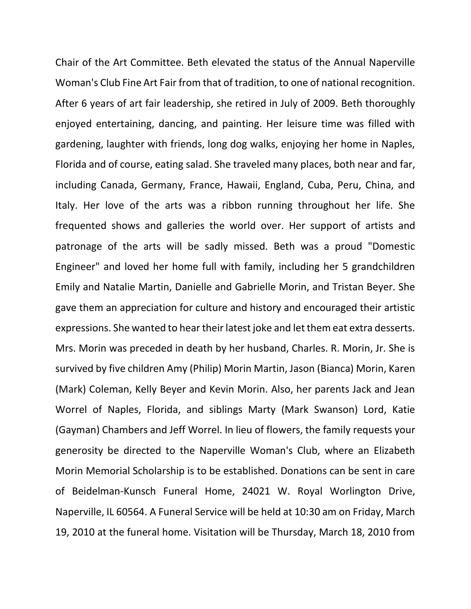Chair of the Art Committee. Beth elevated the status of the Annual Naperville Woman's Club Fine Art Fair from that of tradition, to one of national recognition. After 6 years of art fair leadership, she retired in July of 2009. Beth thoroughly enjoyed entertaining, dancing, and painting. Her leisure time was filled with gardening, laughter with friends, long dog walks, enjoying her home in Naples, Florida and of course, eating salad. She traveled many places, both near and far, including Canada, Germany, France, Hawaii, England, Cuba, Peru, China, and Italy. Her love of the arts was a ribbon running throughout her life. She frequented shows and galleries the world over. Her support of artists and patronage of the arts will be sadly missed. Beth was a proud "Domestic Engineer" and loved her home full with family, including her 5 grandchildren Emily and Natalie Martin, Danielle and Gabrielle Morin, and Tristan Beyer. She gave them an appreciation for culture and history and encouraged their artistic expressions. She wanted to hear their latest joke and let them eat extra desserts. Mrs. Morin was preceded in death by her husband, Charles. R. Morin, Jr. She is survived by five children Amy (Philip) Morin Martin, Jason (Bianca) Morin, Karen (Mark) Coleman, Kelly Beyer and Kevin Morin. Also, her parents Jack and Jean Worrel of Naples, Florida, and siblings Marty (Mark Swanson) Lord, Katie (Gayman) Chambers and Jeff Worrel. In lieu of flowers, the family requests your generosity be directed to the Naperville Woman's Club, where an Elizabeth Morin Memorial Scholarship is to be established. Donations can be sent in care of Beidelman-Kunsch Funeral Home, 24021 W. Royal Worlington Drive, Naperville, IL 60564. A Funeral Service will be held at 10:30 am on Friday, March 19, 2010 at the funeral home. Visitation will be Thursday, March 18, 2010 from